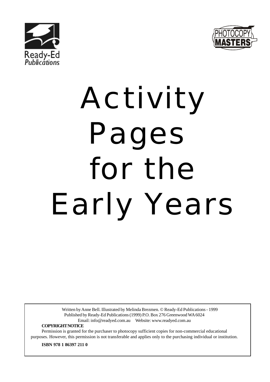



# Activity Pages for the Early Years

Written by Anne Bell. Illustrated by Melinda Brezmen. © Ready-Ed Publications - 1999 Published by Ready-Ed Publications (1999) P.O. Box 276 Greenwood WA 6024 Email: info@readyed.com.au Website: www.readyed.com.au

**COPYRIGHT NOTICE**

Permission is granted for the purchaser to photocopy sufficient copies for non-commercial educational purposes. However, this permission is not transferable and applies only to the purchasing individual or institution.

**ISBN 978 1 86397 211 0**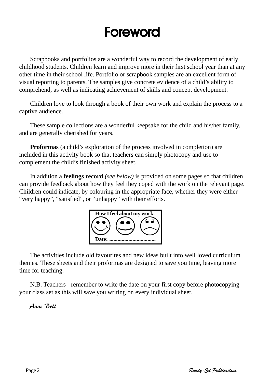#### Foreword

Scrapbooks and portfolios are a wonderful way to record the development of early childhood students. Children learn and improve more in their first school year than at any other time in their school life. Portfolio or scrapbook samples are an excellent form of visual reporting to parents. The samples give concrete evidence of a child's ability to comprehend, as well as indicating achievement of skills and concept development.

Children love to look through a book of their own work and explain the process to a captive audience.

These sample collections are a wonderful keepsake for the child and his/her family, and are generally cherished for years.

**Proformas** (a child's exploration of the process involved in completion) are included in this activity book so that teachers can simply photocopy and use to complement the child's finished activity sheet.

In addition a **feelings record** *(see below)* is provided on some pages so that children can provide feedback about how they feel they coped with the work on the relevant page. Children could indicate, by colouring in the appropriate face, whether they were either "very happy", "satisfied", or "unhappy" with their efforts.



The activities include old favourites and new ideas built into well loved curriculum themes. These sheets and their proformas are designed to save you time, leaving more time for teaching.

N.B. Teachers - remember to write the date on your first copy before photocopying your class set as this will save you writing on every individual sheet.

#### Anne Bell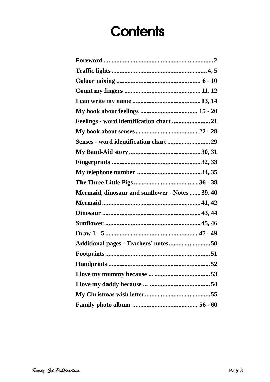#### **Contents**

| Senses - word identification chart 29           |  |
|-------------------------------------------------|--|
|                                                 |  |
|                                                 |  |
|                                                 |  |
|                                                 |  |
| Mermaid, dinosaur and sunflower - Notes  39, 40 |  |
|                                                 |  |
|                                                 |  |
|                                                 |  |
|                                                 |  |
|                                                 |  |
|                                                 |  |
|                                                 |  |
|                                                 |  |
|                                                 |  |
|                                                 |  |
|                                                 |  |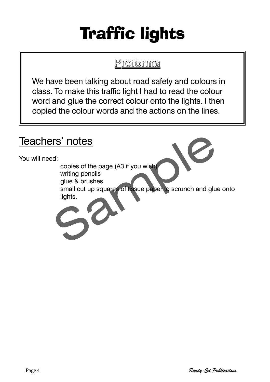## Traffic lights

**Proforma**

We have been talking about road safety and colours in class. To make this traffic light I had to read the colour word and glue the correct colour onto the lights. I then copied the colour words and the actions on the lines.

#### Teachers' notes

You will need:

copies of the page (A3 if you wish)

writing pencils glue & brushes

ers' notes<br>
d:<br>
copies of the page (A3 if you wish)<br>
writing pencils<br>
glue & brushes<br>
small cut up squares of tissue paper to scrunch and glue<br>
lights. small cut up squares of tissue paper to scrunch and glue onto lights.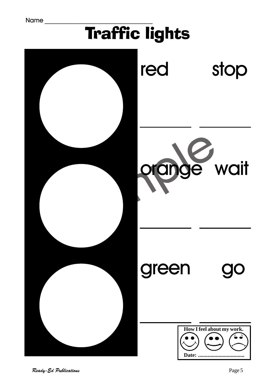## Traffic lights

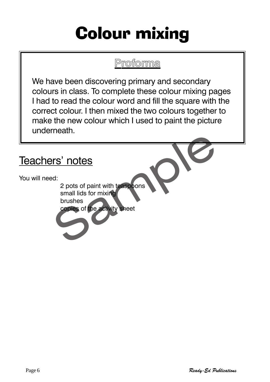### Colour mixing

#### **Proforma**

We have been discovering primary and secondary colours in class. To complete these colour mixing pages I had to read the colour word and fill the square with the correct colour. I then mixed the two colours together to make the new colour which I used to paint the picture underneath.

#### Teachers' notes

You will need:

Pres' notes<br>
Press of paint with teaspoons<br>
Small lids for mixing<br>
brushes<br>
Copies of the activity sheet 2 pots of paint with teaspoons small lids for mixing

brushes

copies of the activity sheet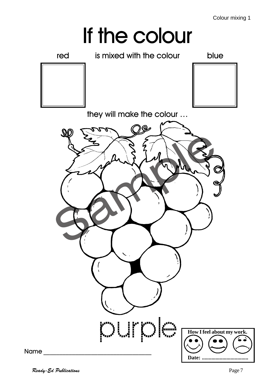# If the colour

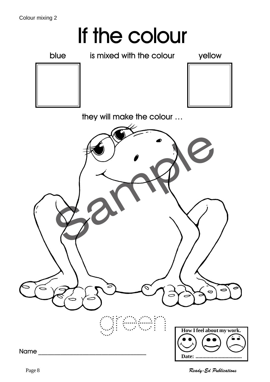# If the colour



blue is mixed with the colour yellow





they will make the colour …



Page 8 Ready-Ed Publications